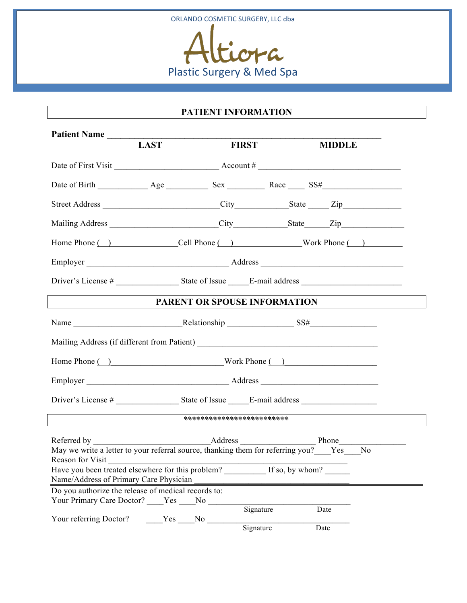

## **PATIENT INFORMATION**

| Patient Name                                                                                                                                     |             |                            |                                                                                                                                                                                                                                      |
|--------------------------------------------------------------------------------------------------------------------------------------------------|-------------|----------------------------|--------------------------------------------------------------------------------------------------------------------------------------------------------------------------------------------------------------------------------------|
|                                                                                                                                                  | <b>LAST</b> | <b>FIRST</b>               | <b>MIDDLE</b>                                                                                                                                                                                                                        |
|                                                                                                                                                  |             |                            |                                                                                                                                                                                                                                      |
|                                                                                                                                                  |             |                            |                                                                                                                                                                                                                                      |
|                                                                                                                                                  |             |                            |                                                                                                                                                                                                                                      |
|                                                                                                                                                  |             |                            |                                                                                                                                                                                                                                      |
|                                                                                                                                                  |             |                            | Home Phone ( ) Cell Phone ( ) Work Phone ( )                                                                                                                                                                                         |
|                                                                                                                                                  |             |                            |                                                                                                                                                                                                                                      |
|                                                                                                                                                  |             |                            |                                                                                                                                                                                                                                      |
|                                                                                                                                                  |             |                            | <b>PARENT OR SPOUSE INFORMATION</b>                                                                                                                                                                                                  |
|                                                                                                                                                  |             |                            |                                                                                                                                                                                                                                      |
|                                                                                                                                                  |             |                            |                                                                                                                                                                                                                                      |
| Home Phone ( ) Work Phone ( )                                                                                                                    |             |                            |                                                                                                                                                                                                                                      |
|                                                                                                                                                  |             |                            |                                                                                                                                                                                                                                      |
|                                                                                                                                                  |             |                            |                                                                                                                                                                                                                                      |
|                                                                                                                                                  |             | ************************** | <u>and the state of the state of the state of the state of the state of the state of the state of the state of the state of the state of the state of the state of the state of the state of the state of the state of the state</u> |
|                                                                                                                                                  |             |                            |                                                                                                                                                                                                                                      |
| Reason for Visit<br>Have you been treated elsewhere for this problem? _________ If so, by whom? ______<br>Name/Address of Primary Care Physician |             |                            |                                                                                                                                                                                                                                      |
| Do you authorize the release of medical records to:<br>Your Primary Care Doctor? ____ Yes ____ No                                                |             |                            |                                                                                                                                                                                                                                      |
| Your referring Doctor?                                                                                                                           | Yes No      | Signature<br>Signature     | Date<br>Date                                                                                                                                                                                                                         |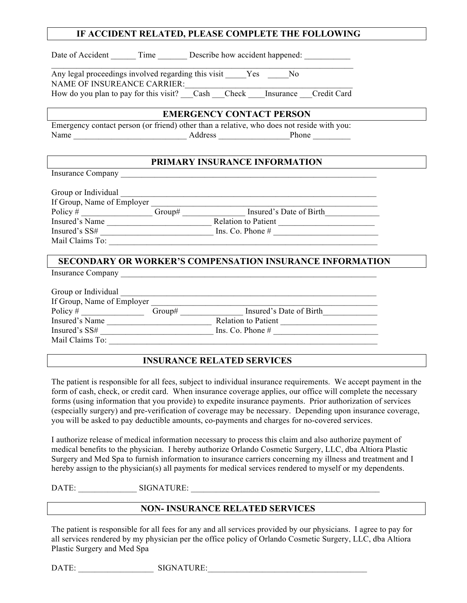| IF ACCIDENT RELATED, PLEASE COMPLETE THE FOLLOWING                                                              |  |  |  |  |  |
|-----------------------------------------------------------------------------------------------------------------|--|--|--|--|--|
| Date of Accident ________ Time _________ Describe how accident happened: _____________                          |  |  |  |  |  |
| Any legal proceedings involved regarding this visit Yes No<br><b>NAME OF INSUREANCE CARRIER:</b>                |  |  |  |  |  |
| NAME OF INSUREANCE CARRIER:<br>How do you plan to pay for this visit? __Cash __Check ___Insurance __Credit Card |  |  |  |  |  |
| <b>EMERGENCY CONTACT PERSON</b>                                                                                 |  |  |  |  |  |
| Emergency contact person (or friend) other than a relative, who does not reside with you:                       |  |  |  |  |  |
| PRIMARY INSURANCE INFORMATION                                                                                   |  |  |  |  |  |
|                                                                                                                 |  |  |  |  |  |
|                                                                                                                 |  |  |  |  |  |
|                                                                                                                 |  |  |  |  |  |
|                                                                                                                 |  |  |  |  |  |
|                                                                                                                 |  |  |  |  |  |
|                                                                                                                 |  |  |  |  |  |
| <b>SECONDARY OR WORKER'S COMPENSATION INSURANCE INFORMATION</b>                                                 |  |  |  |  |  |
|                                                                                                                 |  |  |  |  |  |
|                                                                                                                 |  |  |  |  |  |
|                                                                                                                 |  |  |  |  |  |
|                                                                                                                 |  |  |  |  |  |
|                                                                                                                 |  |  |  |  |  |
|                                                                                                                 |  |  |  |  |  |
|                                                                                                                 |  |  |  |  |  |

### **INSURANCE RELATED SERVICES**

The patient is responsible for all fees, subject to individual insurance requirements. We accept payment in the form of cash, check, or credit card. When insurance coverage applies, our office will complete the necessary forms (using information that you provide) to expedite insurance payments. Prior authorization of services (especially surgery) and pre-verification of coverage may be necessary. Depending upon insurance coverage, you will be asked to pay deductible amounts, co-payments and charges for no-covered services.

I authorize release of medical information necessary to process this claim and also authorize payment of medical benefits to the physician. I hereby authorize Orlando Cosmetic Surgery, LLC, dba Altiora Plastic Surgery and Med Spa to furnish information to insurance carriers concerning my illness and treatment and I hereby assign to the physician(s) all payments for medical services rendered to myself or my dependents.

DATE: \_\_\_\_\_\_\_\_\_\_\_\_\_\_ SIGNATURE: \_\_\_\_\_\_\_\_\_\_\_\_\_\_\_\_\_\_\_\_\_\_\_\_\_\_\_\_\_\_\_\_\_\_\_\_\_\_\_\_\_\_\_\_\_

### **NON- INSURANCE RELATED SERVICES**

The patient is responsible for all fees for any and all services provided by our physicians. I agree to pay for all services rendered by my physician per the office policy of Orlando Cosmetic Surgery, LLC, dba Altiora Plastic Surgery and Med Spa

DATE: SIGNATURE: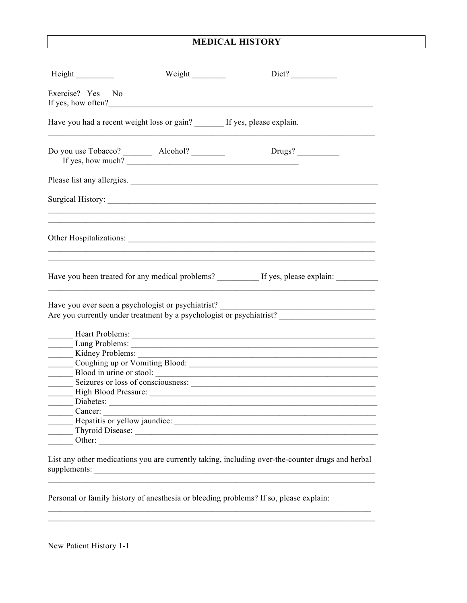## **MEDICAL HISTORY**

| Height _________                                                                                                                                                                                                                                    | Weight | Diet?                                                                                                                                                                                                                         |  |  |  |
|-----------------------------------------------------------------------------------------------------------------------------------------------------------------------------------------------------------------------------------------------------|--------|-------------------------------------------------------------------------------------------------------------------------------------------------------------------------------------------------------------------------------|--|--|--|
| Exercise? Yes No<br>If yes, how often?                                                                                                                                                                                                              |        |                                                                                                                                                                                                                               |  |  |  |
| Have you had a recent weight loss or gain? _______ If yes, please explain.                                                                                                                                                                          |        |                                                                                                                                                                                                                               |  |  |  |
|                                                                                                                                                                                                                                                     |        |                                                                                                                                                                                                                               |  |  |  |
|                                                                                                                                                                                                                                                     |        | Please list any allergies.                                                                                                                                                                                                    |  |  |  |
|                                                                                                                                                                                                                                                     |        |                                                                                                                                                                                                                               |  |  |  |
|                                                                                                                                                                                                                                                     |        |                                                                                                                                                                                                                               |  |  |  |
|                                                                                                                                                                                                                                                     |        | Have you been treated for any medical problems? _________ If yes, please explain: ________                                                                                                                                    |  |  |  |
| Have you ever seen a psychologist or psychiatrist?<br><u> La componenta de la componenta de la componenta de la componenta de la componenta de la componenta de la comp</u><br>Are you currently under treatment by a psychologist or psychiatrist? |        |                                                                                                                                                                                                                               |  |  |  |
|                                                                                                                                                                                                                                                     |        |                                                                                                                                                                                                                               |  |  |  |
| Kidney Problems:                                                                                                                                                                                                                                    |        | <u> 1980 - Jan James James Barnett, fransk politik (d. 1980)</u>                                                                                                                                                              |  |  |  |
|                                                                                                                                                                                                                                                     |        |                                                                                                                                                                                                                               |  |  |  |
|                                                                                                                                                                                                                                                     |        |                                                                                                                                                                                                                               |  |  |  |
|                                                                                                                                                                                                                                                     |        | Seizures or loss of consciousness:                                                                                                                                                                                            |  |  |  |
|                                                                                                                                                                                                                                                     |        |                                                                                                                                                                                                                               |  |  |  |
|                                                                                                                                                                                                                                                     |        |                                                                                                                                                                                                                               |  |  |  |
| Cancer:                                                                                                                                                                                                                                             |        | the control of the control of the control of the control of the control of the control of the control of the control of the control of the control of the control of the control of the control of the control of the control |  |  |  |
|                                                                                                                                                                                                                                                     |        | Hepatitis or yellow jaundice:                                                                                                                                                                                                 |  |  |  |
|                                                                                                                                                                                                                                                     |        |                                                                                                                                                                                                                               |  |  |  |
| $-$ Other: $-$                                                                                                                                                                                                                                      |        |                                                                                                                                                                                                                               |  |  |  |
|                                                                                                                                                                                                                                                     |        |                                                                                                                                                                                                                               |  |  |  |

List any other medications you are currently taking, including over-the-counter drugs and herbal supplements:

Personal or family history of anesthesia or bleeding problems? If so, please explain: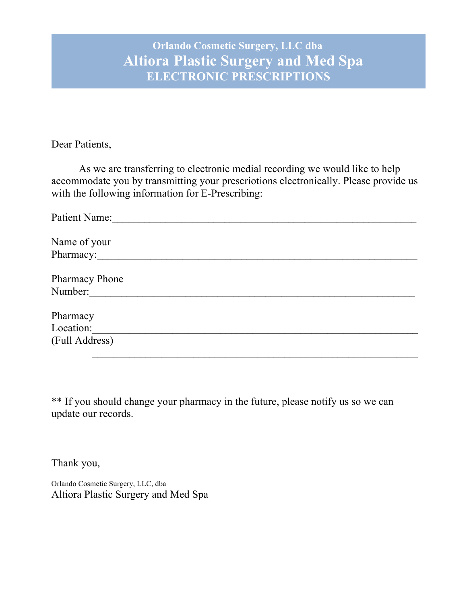# **Orlando Cosmetic Surgery, LLC dba Altiora Plastic Surgery and Med Spa ELECTRONIC PRESCRIPTIONS**

Dear Patients,

As we are transferring to electronic medial recording we would like to help accommodate you by transmitting your prescriotions electronically. Please provide us with the following information for E-Prescribing:

| Patient Name:         |
|-----------------------|
|                       |
| Name of your          |
| Pharmacy:             |
|                       |
| <b>Pharmacy Phone</b> |
| Number:               |
|                       |
| Pharmacy              |
| Location:             |
| (Full Address)        |
|                       |

\*\* If you should change your pharmacy in the future, please notify us so we can update our records.

Thank you,

Orlando Cosmetic Surgery, LLC, dba Altiora Plastic Surgery and Med Spa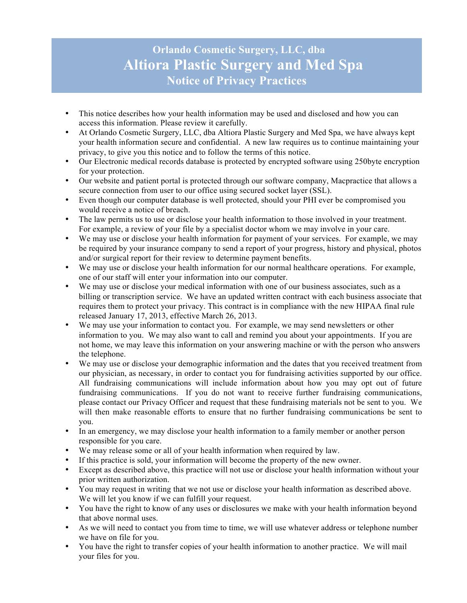## **Orlando Cosmetic Surgery, LLC, dba Altiora Plastic Surgery and Med Spa Notice of Privacy Practices**

- This notice describes how your health information may be used and disclosed and how you can access this information. Please review it carefully.
- At Orlando Cosmetic Surgery, LLC, dba Altiora Plastic Surgery and Med Spa, we have always kept your health information secure and confidential. A new law requires us to continue maintaining your privacy, to give you this notice and to follow the terms of this notice.
- Our Electronic medical records database is protected by encrypted software using 250byte encryption for your protection.
- Our website and patient portal is protected through our software company, Macpractice that allows a secure connection from user to our office using secured socket layer (SSL).
- Even though our computer database is well protected, should your PHI ever be compromised you would receive a notice of breach.
- The law permits us to use or disclose your health information to those involved in your treatment. For example, a review of your file by a specialist doctor whom we may involve in your care.
- We may use or disclose your health information for payment of your services. For example, we may be required by your insurance company to send a report of your progress, history and physical, photos and/or surgical report for their review to determine payment benefits.
- We may use or disclose your health information for our normal healthcare operations. For example, one of our staff will enter your information into our computer.
- We may use or disclose your medical information with one of our business associates, such as a billing or transcription service. We have an updated written contract with each business associate that requires them to protect your privacy. This contract is in compliance with the new HIPAA final rule released January 17, 2013, effective March 26, 2013.
- We may use your information to contact you. For example, we may send newsletters or other information to you. We may also want to call and remind you about your appointments. If you are not home, we may leave this information on your answering machine or with the person who answers the telephone.
- We may use or disclose your demographic information and the dates that you received treatment from our physician, as necessary, in order to contact you for fundraising activities supported by our office. All fundraising communications will include information about how you may opt out of future fundraising communications. If you do not want to receive further fundraising communications, please contact our Privacy Officer and request that these fundraising materials not be sent to you. We will then make reasonable efforts to ensure that no further fundraising communications be sent to you.
- In an emergency, we may disclose your health information to a family member or another person responsible for you care.
- We may release some or all of your health information when required by law.
- If this practice is sold, your information will become the property of the new owner.
- Except as described above, this practice will not use or disclose your health information without your prior written authorization.
- You may request in writing that we not use or disclose your health information as described above. We will let you know if we can fulfill your request.
- You have the right to know of any uses or disclosures we make with your health information beyond that above normal uses.
- As we will need to contact you from time to time, we will use whatever address or telephone number we have on file for you.
- You have the right to transfer copies of your health information to another practice. We will mail your files for you.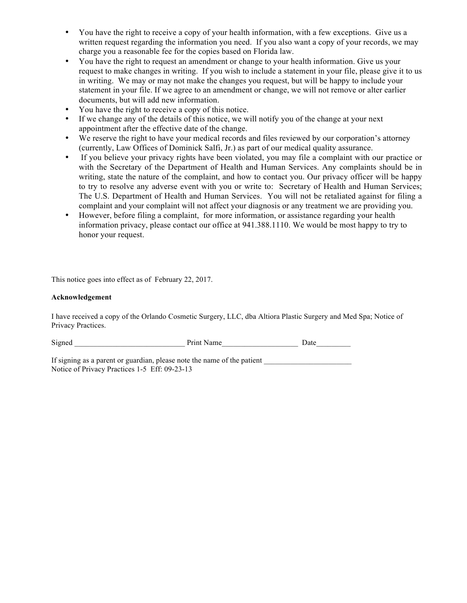- You have the right to receive a copy of your health information, with a few exceptions. Give us a written request regarding the information you need. If you also want a copy of your records, we may charge you a reasonable fee for the copies based on Florida law.
- You have the right to request an amendment or change to your health information. Give us your request to make changes in writing. If you wish to include a statement in your file, please give it to us in writing. We may or may not make the changes you request, but will be happy to include your statement in your file. If we agree to an amendment or change, we will not remove or alter earlier documents, but will add new information.
- You have the right to receive a copy of this notice.
- If we change any of the details of this notice, we will notify you of the change at your next appointment after the effective date of the change.
- We reserve the right to have your medical records and files reviewed by our corporation's attorney (currently, Law Offices of Dominick Salfi, Jr.) as part of our medical quality assurance.
- If you believe your privacy rights have been violated, you may file a complaint with our practice or with the Secretary of the Department of Health and Human Services. Any complaints should be in writing, state the nature of the complaint, and how to contact you. Our privacy officer will be happy to try to resolve any adverse event with you or write to: Secretary of Health and Human Services; The U.S. Department of Health and Human Services. You will not be retaliated against for filing a complaint and your complaint will not affect your diagnosis or any treatment we are providing you.
- However, before filing a complaint, for more information, or assistance regarding your health information privacy, please contact our office at 941.388.1110. We would be most happy to try to honor your request.

This notice goes into effect as of February 22, 2017.

#### **Acknowledgement**

I have received a copy of the Orlando Cosmetic Surgery, LLC, dba Altiora Plastic Surgery and Med Spa; Notice of Privacy Practices.

| Signed | Print Name | Date |
|--------|------------|------|
|        |            |      |

If signing as a parent or guardian, please note the name of the patient Notice of Privacy Practices 1-5 Eff: 09-23-13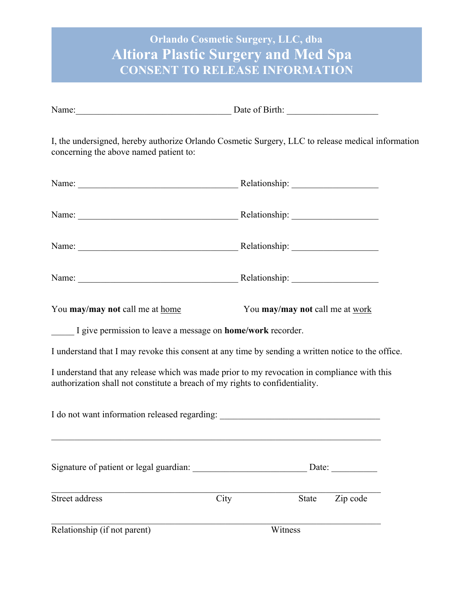# **Orlando Cosmetic Surgery, LLC, dba Altiora Plastic Surgery and Med Spa CONSENT TO RELEASE INFORMATION**

| I, the undersigned, hereby authorize Orlando Cosmetic Surgery, LLC to release medical information<br>concerning the above named patient to:                                 |                                 |          |  |  |  |
|-----------------------------------------------------------------------------------------------------------------------------------------------------------------------------|---------------------------------|----------|--|--|--|
|                                                                                                                                                                             |                                 |          |  |  |  |
|                                                                                                                                                                             |                                 |          |  |  |  |
|                                                                                                                                                                             |                                 |          |  |  |  |
|                                                                                                                                                                             |                                 |          |  |  |  |
| You may/may not call me at home                                                                                                                                             | You may/may not call me at work |          |  |  |  |
| I give permission to leave a message on <b>home/work</b> recorder.                                                                                                          |                                 |          |  |  |  |
| I understand that I may revoke this consent at any time by sending a written notice to the office.                                                                          |                                 |          |  |  |  |
| I understand that any release which was made prior to my revocation in compliance with this<br>authorization shall not constitute a breach of my rights to confidentiality. |                                 |          |  |  |  |
| I do not want information released regarding: __________________________________                                                                                            |                                 |          |  |  |  |
|                                                                                                                                                                             |                                 | Date:    |  |  |  |
| Street address                                                                                                                                                              | City<br><b>State</b>            | Zip code |  |  |  |
| Relationship (if not parent)                                                                                                                                                | Witness                         |          |  |  |  |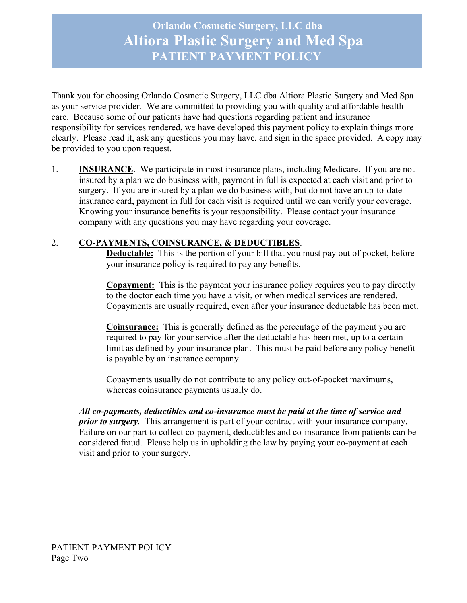**Orlando Cosmetic Surgery, LLC dba Altiora Plastic Surgery and Med Spa PATIENT PAYMENT POLICY**

Thank you for choosing Orlando Cosmetic Surgery, LLC dba Altiora Plastic Surgery and Med Spa as your service provider. We are committed to providing you with quality and affordable health care. Because some of our patients have had questions regarding patient and insurance responsibility for services rendered, we have developed this payment policy to explain things more clearly. Please read it, ask any questions you may have, and sign in the space provided. A copy may be provided to you upon request.

1. **INSURANCE**. We participate in most insurance plans, including Medicare. If you are not insured by a plan we do business with, payment in full is expected at each visit and prior to surgery. If you are insured by a plan we do business with, but do not have an up-to-date insurance card, payment in full for each visit is required until we can verify your coverage. Knowing your insurance benefits is your responsibility. Please contact your insurance company with any questions you may have regarding your coverage.

## 2. **CO-PAYMENTS, COINSURANCE, & DEDUCTIBLES**.

**Deductable:** This is the portion of your bill that you must pay out of pocket, before your insurance policy is required to pay any benefits.

**Copayment:** This is the payment your insurance policy requires you to pay directly to the doctor each time you have a visit, or when medical services are rendered. Copayments are usually required, even after your insurance deductable has been met.

**Coinsurance:** This is generally defined as the percentage of the payment you are required to pay for your service after the deductable has been met, up to a certain limit as defined by your insurance plan. This must be paid before any policy benefit is payable by an insurance company.

Copayments usually do not contribute to any policy out-of-pocket maximums, whereas coinsurance payments usually do.

*All co-payments, deductibles and co-insurance must be paid at the time of service and prior to surgery.* This arrangement is part of your contract with your insurance company. Failure on our part to collect co-payment, deductibles and co-insurance from patients can be considered fraud. Please help us in upholding the law by paying your co-payment at each visit and prior to your surgery.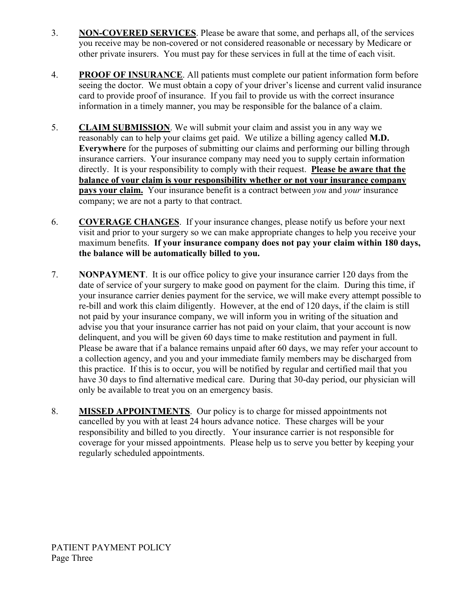- 3. **NON-COVERED SERVICES**. Please be aware that some, and perhaps all, of the services you receive may be non-covered or not considered reasonable or necessary by Medicare or other private insurers. You must pay for these services in full at the time of each visit.
- 4. **PROOF OF INSURANCE**. All patients must complete our patient information form before seeing the doctor. We must obtain a copy of your driver's license and current valid insurance card to provide proof of insurance. If you fail to provide us with the correct insurance information in a timely manner, you may be responsible for the balance of a claim.
- 5. **CLAIM SUBMISSION**. We will submit your claim and assist you in any way we reasonably can to help your claims get paid. We utilize a billing agency called **M.D. Everywhere** for the purposes of submitting our claims and performing our billing through insurance carriers. Your insurance company may need you to supply certain information directly. It is your responsibility to comply with their request. **Please be aware that the balance of your claim is your responsibility whether or not your insurance company pays your claim.** Your insurance benefit is a contract between *you* and *your* insurance company; we are not a party to that contract.
- 6. **COVERAGE CHANGES**. If your insurance changes, please notify us before your next visit and prior to your surgery so we can make appropriate changes to help you receive your maximum benefits. **If your insurance company does not pay your claim within 180 days, the balance will be automatically billed to you.**
- 7. **NONPAYMENT**. It is our office policy to give your insurance carrier 120 days from the date of service of your surgery to make good on payment for the claim. During this time, if your insurance carrier denies payment for the service, we will make every attempt possible to re-bill and work this claim diligently. However, at the end of 120 days, if the claim is still not paid by your insurance company, we will inform you in writing of the situation and advise you that your insurance carrier has not paid on your claim, that your account is now delinquent, and you will be given 60 days time to make restitution and payment in full. Please be aware that if a balance remains unpaid after 60 days, we may refer your account to a collection agency, and you and your immediate family members may be discharged from this practice. If this is to occur, you will be notified by regular and certified mail that you have 30 days to find alternative medical care. During that 30-day period, our physician will only be available to treat you on an emergency basis.
- 8. **MISSED APPOINTMENTS**. Our policy is to charge for missed appointments not cancelled by you with at least 24 hours advance notice. These charges will be your responsibility and billed to you directly. Your insurance carrier is not responsible for coverage for your missed appointments. Please help us to serve you better by keeping your regularly scheduled appointments.